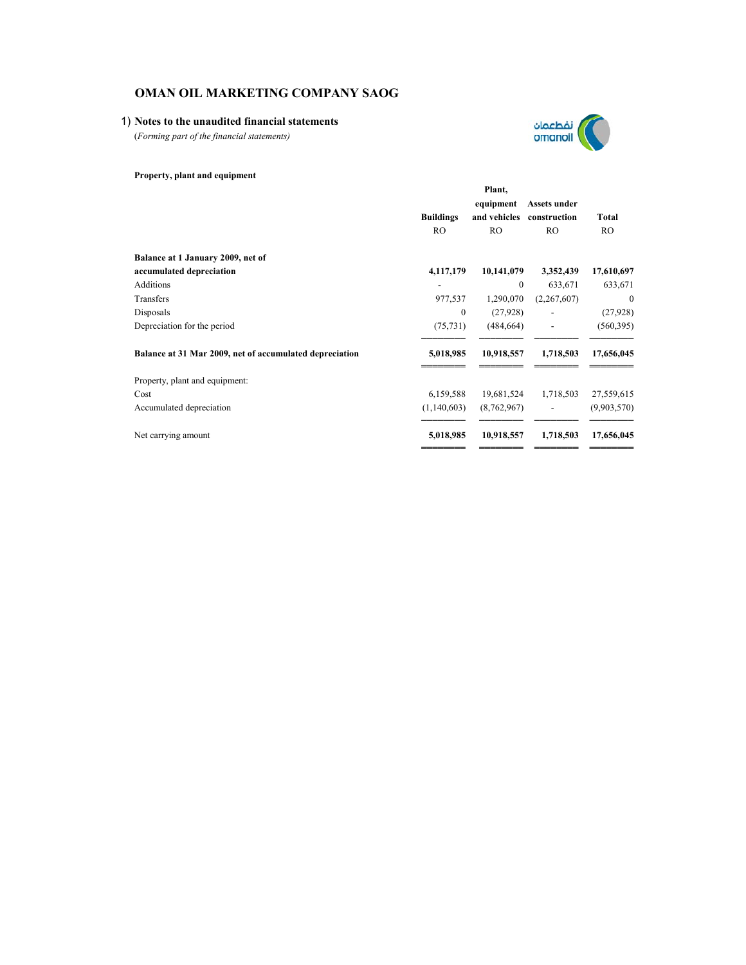## 1) **Notes to the unaudited financial statements**

(*Forming part of the financial statements)*



|                                                         | Plant,           |              |               |              |  |
|---------------------------------------------------------|------------------|--------------|---------------|--------------|--|
|                                                         |                  | equipment    | Assets under  |              |  |
|                                                         | <b>Buildings</b> | and vehicles | construction  | <b>Total</b> |  |
|                                                         | R <sub>O</sub>   | <b>RO</b>    | <sub>RO</sub> | <b>RO</b>    |  |
| Balance at 1 January 2009, net of                       |                  |              |               |              |  |
| accumulated depreciation                                | 4,117,179        | 10,141,079   | 3,352,439     | 17,610,697   |  |
| <b>Additions</b>                                        |                  | $\mathbf{0}$ | 633,671       | 633,671      |  |
| Transfers                                               | 977,537          | 1,290,070    | (2,267,607)   | $\mathbf{0}$ |  |
| Disposals                                               | $\mathbf{0}$     | (27,928)     |               | (27, 928)    |  |
| Depreciation for the period                             | (75, 731)        | (484, 664)   |               | (560, 395)   |  |
| Balance at 31 Mar 2009, net of accumulated depreciation | 5,018,985        | 10,918,557   | 1,718,503     | 17,656,045   |  |
| Property, plant and equipment:                          |                  |              |               |              |  |
| Cost                                                    | 6,159,588        | 19,681,524   | 1,718,503     | 27,559,615   |  |
| Accumulated depreciation                                | (1,140,603)      | (8,762,967)  |               | (9,903,570)  |  |
| Net carrying amount                                     | 5,018,985        | 10,918,557   | 1,718,503     | 17,656,045   |  |
|                                                         |                  |              |               |              |  |

نفطعمان<br>omanoil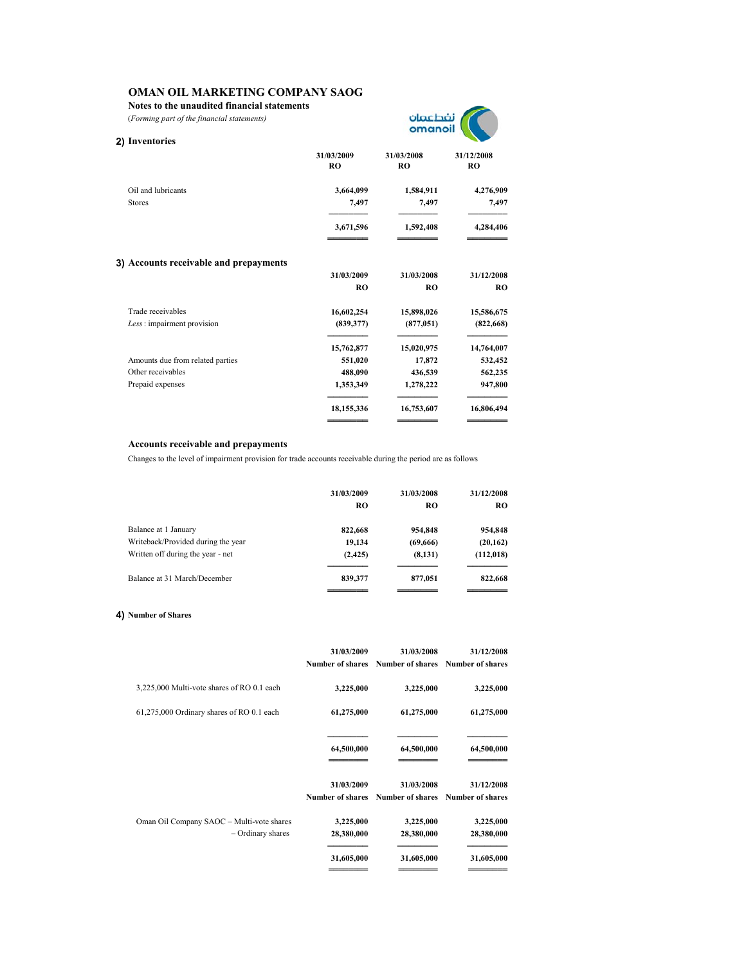**Notes to the unaudited financial statements**

(*Forming part of the financial statements)*

| نفطعمان |  |
|---------|--|
| omanoil |  |
|         |  |

| 2) Inventories                         |                         |                         |                         |
|----------------------------------------|-------------------------|-------------------------|-------------------------|
|                                        | 31/03/2009<br><b>RO</b> | 31/03/2008<br><b>RO</b> | 31/12/2008<br><b>RO</b> |
| Oil and lubricants                     | 3,664,099               | 1,584,911               | 4,276,909               |
| <b>Stores</b>                          | 7,497                   | 7,497                   | 7,497                   |
|                                        | 3,671,596               | 1,592,408               | 4,284,406               |
| 3) Accounts receivable and prepayments |                         |                         |                         |
|                                        | 31/03/2009              | 31/03/2008              | 31/12/2008              |
|                                        | <b>RO</b>               | <b>RO</b>               | <b>RO</b>               |
| Trade receivables                      | 16,602,254              | 15,898,026              | 15,586,675              |
| Less: impairment provision             | (839, 377)              | (877, 051)              | (822, 668)              |
|                                        | 15,762,877              | 15,020,975              | 14,764,007              |
| Amounts due from related parties       | 551,020                 | 17,872                  | 532,452                 |
| Other receivables                      | 488,090                 | 436,539                 | 562,235                 |
| Prepaid expenses                       | 1,353,349               | 1,278,222               | 947,800                 |
|                                        | 18,155,336              | 16,753,607              | 16,806,494              |
|                                        |                         |                         |                         |

## **Accounts receivable and prepayments**

Changes to the level of impairment provision for trade accounts receivable during the period are as follows

|                                    | 31/03/2009<br><b>RO</b> | 31/03/2008<br>RO | 31/12/2008<br><b>RO</b> |
|------------------------------------|-------------------------|------------------|-------------------------|
| Balance at 1 January               | 822,668                 | 954,848          | 954,848                 |
| Writeback/Provided during the year | 19,134                  | (69,666)         | (20, 162)               |
| Written off during the year - net  | (2, 425)                | (8, 131)         | (112,018)               |
| Balance at 31 March/December       | 839.377                 | 877.051          | 822,668                 |
|                                    |                         |                  |                         |

#### **4) Number of Shares**

|                                                                | 31/03/2009<br><b>Number of shares</b> | 31/03/2008<br>Number of shares | 31/12/2008<br>Number of shares |
|----------------------------------------------------------------|---------------------------------------|--------------------------------|--------------------------------|
| 3,225,000 Multi-vote shares of RO 0.1 each                     | 3,225,000                             | 3,225,000                      | 3,225,000                      |
| 61,275,000 Ordinary shares of RO 0.1 each                      | 61,275,000                            | 61,275,000                     | 61,275,000                     |
|                                                                | 64,500,000                            | 64,500,000                     | 64,500,000                     |
|                                                                | 31/03/2009<br><b>Number of shares</b> | 31/03/2008<br>Number of shares | 31/12/2008<br>Number of shares |
| Oman Oil Company SAOC - Multi-vote shares<br>- Ordinary shares | 3,225,000<br>28,380,000               | 3,225,000<br>28,380,000        | 3,225,000<br>28,380,000        |
|                                                                | 31,605,000                            | 31,605,000                     | 31,605,000                     |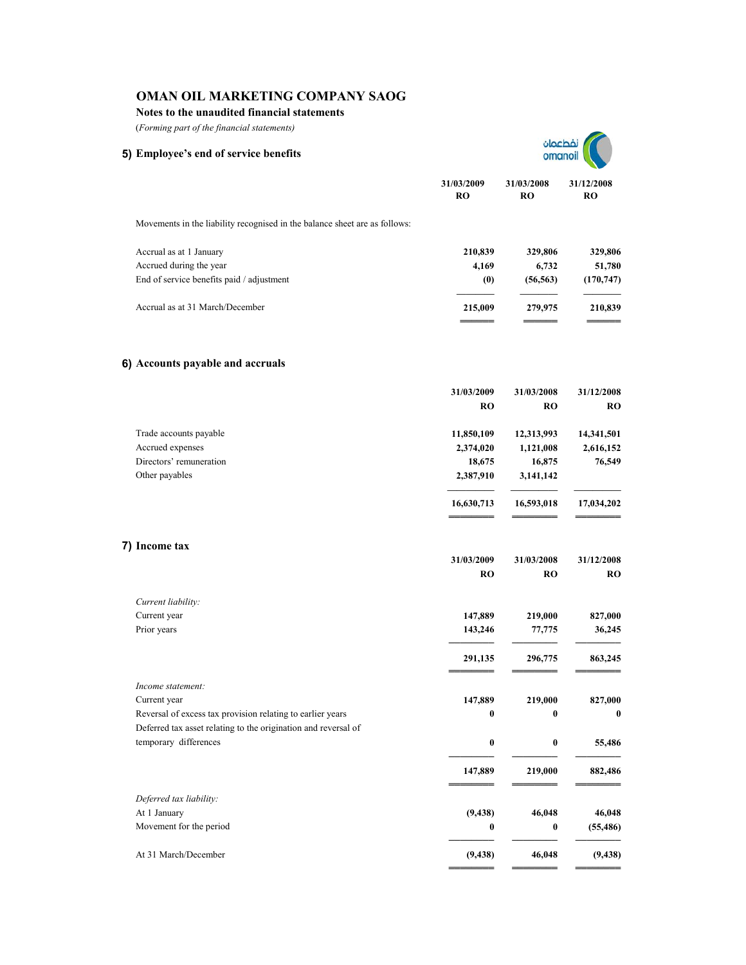**Notes to the unaudited financial statements**

| 5) Employee's end of service benefits                                                                                        |                         |                         | ulocho                  |  |  |
|------------------------------------------------------------------------------------------------------------------------------|-------------------------|-------------------------|-------------------------|--|--|
|                                                                                                                              | 31/03/2009<br><b>RO</b> | 31/03/2008<br><b>RO</b> | 31/12/2008<br><b>RO</b> |  |  |
| Movements in the liability recognised in the balance sheet are as follows:                                                   |                         |                         |                         |  |  |
| Accrual as at 1 January                                                                                                      | 210,839                 | 329,806                 | 329,806                 |  |  |
| Accrued during the year                                                                                                      | 4,169                   | 6,732                   | 51,780                  |  |  |
| End of service benefits paid / adjustment                                                                                    | (0)                     | (56, 563)               | (170, 747)              |  |  |
| Accrual as at 31 March/December                                                                                              | 215,009                 | 279,975                 | 210,839                 |  |  |
| 6) Accounts payable and accruals                                                                                             |                         |                         |                         |  |  |
|                                                                                                                              | 31/03/2009              | 31/03/2008              | 31/12/2008              |  |  |
|                                                                                                                              | <b>RO</b>               | RO                      | <b>RO</b>               |  |  |
| Trade accounts payable                                                                                                       | 11,850,109              | 12,313,993              | 14,341,501              |  |  |
| Accrued expenses                                                                                                             | 2,374,020               | 1,121,008               | 2,616,152               |  |  |
| Directors' remuneration                                                                                                      | 18,675                  | 16,875                  | 76,549                  |  |  |
| Other payables                                                                                                               | 2,387,910               | 3,141,142               |                         |  |  |
|                                                                                                                              | 16,630,713              | 16,593,018              | 17,034,202              |  |  |
| 7) Income tax                                                                                                                |                         |                         |                         |  |  |
|                                                                                                                              | 31/03/2009<br>RO        | 31/03/2008<br>RO        | 31/12/2008<br>RO        |  |  |
| Current liability:                                                                                                           |                         |                         |                         |  |  |
| Current year                                                                                                                 | 147,889                 | 219,000                 | 827,000                 |  |  |
| Prior years                                                                                                                  | 143,246                 | 77,775                  | 36,245                  |  |  |
|                                                                                                                              | 291,135                 | 296,775                 | 863,245                 |  |  |
| Income statement:                                                                                                            |                         |                         |                         |  |  |
| Current year                                                                                                                 | 147,889                 | 219,000                 | 827,000                 |  |  |
| Reversal of excess tax provision relating to earlier years<br>Deferred tax asset relating to the origination and reversal of | 0                       | $\pmb{0}$               | $\bf{0}$                |  |  |
| temporary differences                                                                                                        | $\pmb{0}$               | 0                       | 55,486                  |  |  |
|                                                                                                                              |                         |                         |                         |  |  |
|                                                                                                                              | 147,889                 | 219,000                 | 882,486                 |  |  |
| Deferred tax liability:                                                                                                      |                         |                         |                         |  |  |
| At 1 January                                                                                                                 | (9, 438)                | 46,048                  | 46,048                  |  |  |
| Movement for the period                                                                                                      | 0                       | 0                       | (55, 486)               |  |  |
| At 31 March/December                                                                                                         | (9, 438)                | 46,048                  | (9, 438)                |  |  |
|                                                                                                                              |                         |                         |                         |  |  |